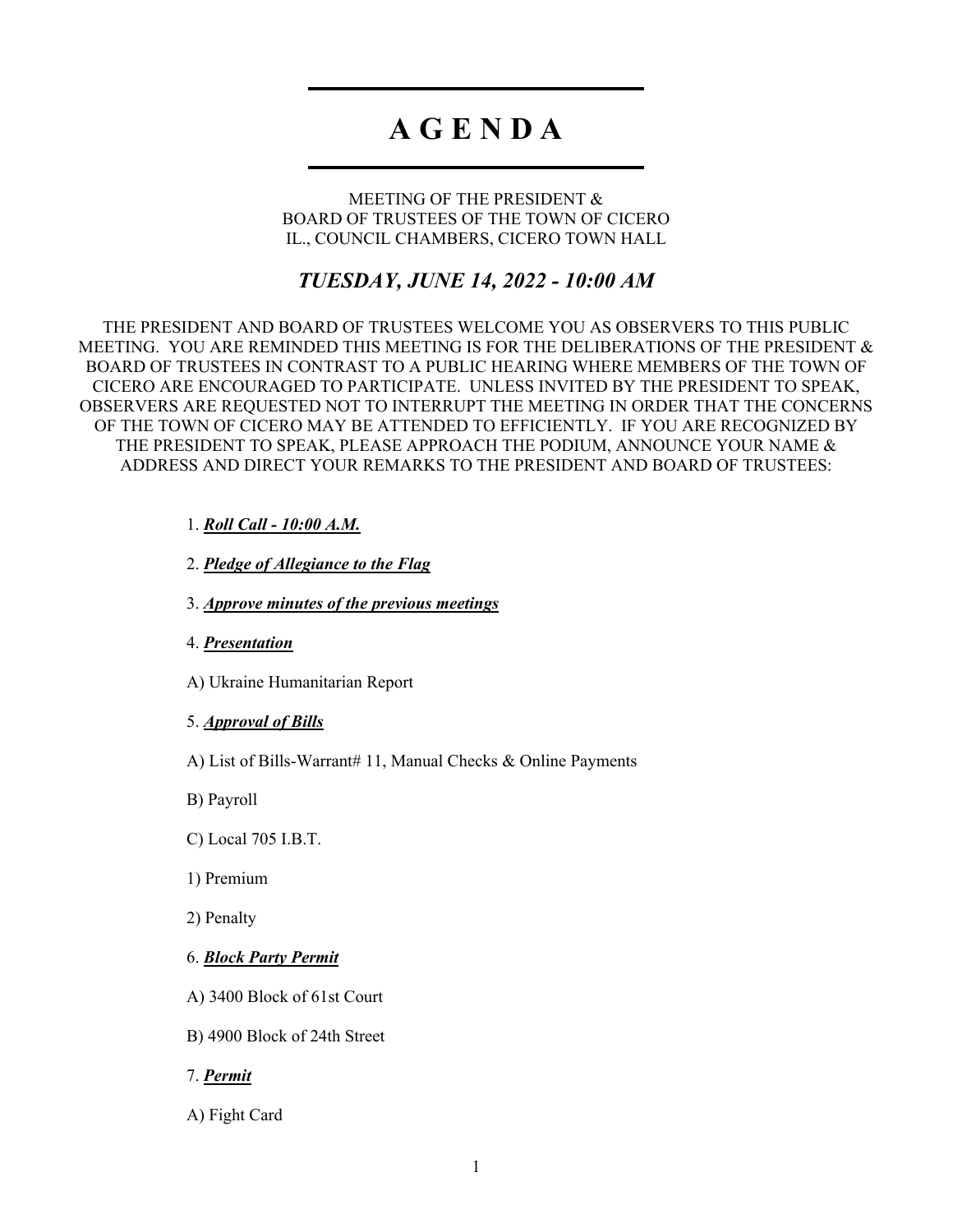# **A G E N D A**

MEETING OF THE PRESIDENT & BOARD OF TRUSTEES OF THE TOWN OF CICERO IL., COUNCIL CHAMBERS, CICERO TOWN HALL

# *TUESDAY, JUNE 14, 2022 - 10:00 AM*

THE PRESIDENT AND BOARD OF TRUSTEES WELCOME YOU AS OBSERVERS TO THIS PUBLIC MEETING. YOU ARE REMINDED THIS MEETING IS FOR THE DELIBERATIONS OF THE PRESIDENT & BOARD OF TRUSTEES IN CONTRAST TO A PUBLIC HEARING WHERE MEMBERS OF THE TOWN OF CICERO ARE ENCOURAGED TO PARTICIPATE. UNLESS INVITED BY THE PRESIDENT TO SPEAK, OBSERVERS ARE REQUESTED NOT TO INTERRUPT THE MEETING IN ORDER THAT THE CONCERNS OF THE TOWN OF CICERO MAY BE ATTENDED TO EFFICIENTLY. IF YOU ARE RECOGNIZED BY THE PRESIDENT TO SPEAK, PLEASE APPROACH THE PODIUM, ANNOUNCE YOUR NAME & ADDRESS AND DIRECT YOUR REMARKS TO THE PRESIDENT AND BOARD OF TRUSTEES:

### 1. *Roll Call - 10:00 A.M.*

2. *Pledge of Allegiance to the Flag*

3. *Approve minutes of the previous meetings*

4. *Presentation*

A) Ukraine Humanitarian Report

#### 5. *Approval of Bills*

A) List of Bills-Warrant# 11, Manual Checks & Online Payments

B) Payroll

C) Local 705 I.B.T.

1) Premium

2) Penalty

6. *Block Party Permit*

A) 3400 Block of 61st Court

B) 4900 Block of 24th Street

7. *Permit*

A) Fight Card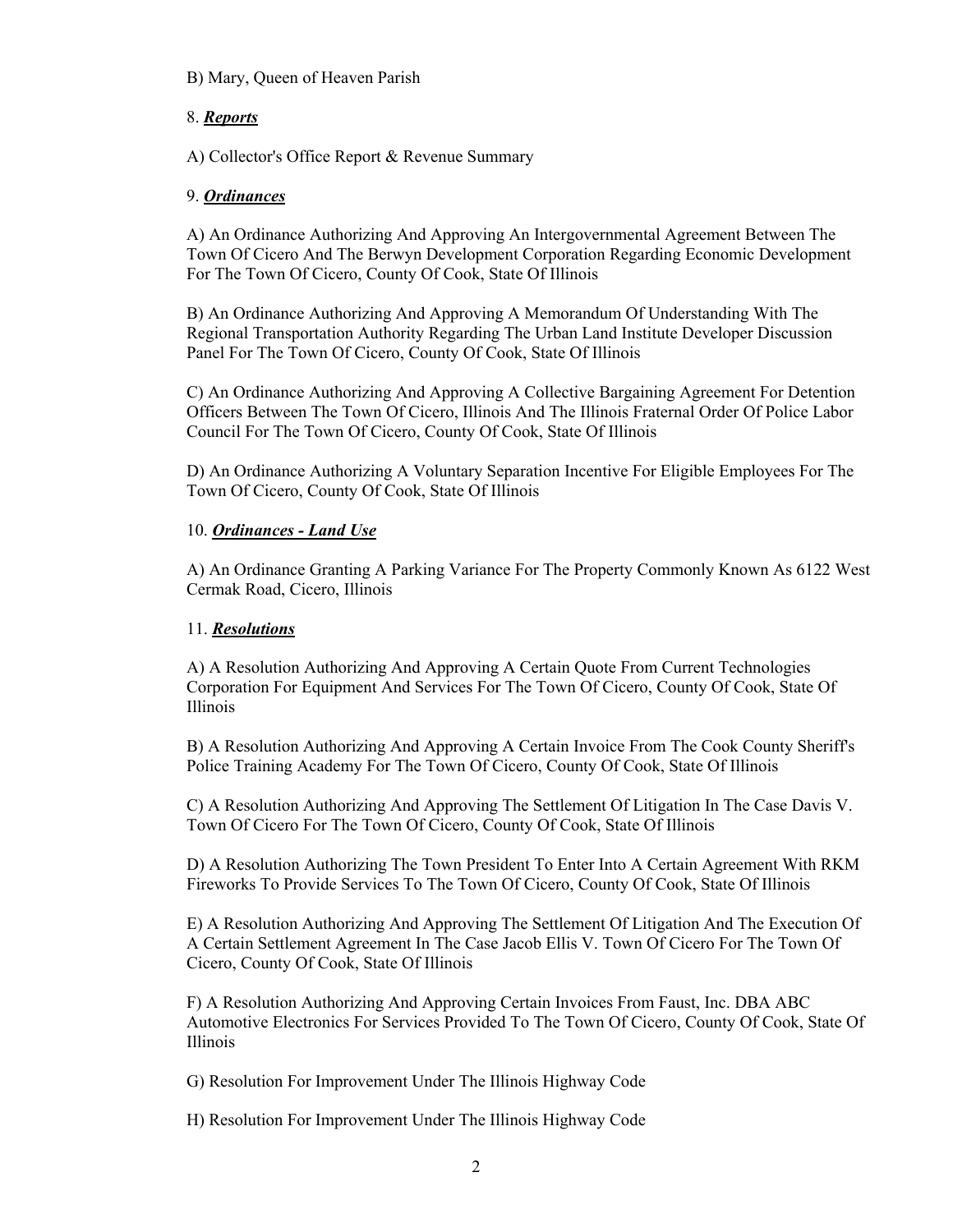#### B) Mary, Queen of Heaven Parish

## 8. *Reports*

A) Collector's Office Report & Revenue Summary

#### 9. *Ordinances*

A) An Ordinance Authorizing And Approving An Intergovernmental Agreement Between The Town Of Cicero And The Berwyn Development Corporation Regarding Economic Development For The Town Of Cicero, County Of Cook, State Of Illinois

B) An Ordinance Authorizing And Approving A Memorandum Of Understanding With The Regional Transportation Authority Regarding The Urban Land Institute Developer Discussion Panel For The Town Of Cicero, County Of Cook, State Of Illinois

C) An Ordinance Authorizing And Approving A Collective Bargaining Agreement For Detention Officers Between The Town Of Cicero, Illinois And The Illinois Fraternal Order Of Police Labor Council For The Town Of Cicero, County Of Cook, State Of Illinois

D) An Ordinance Authorizing A Voluntary Separation Incentive For Eligible Employees For The Town Of Cicero, County Of Cook, State Of Illinois

## 10. *Ordinances - Land Use*

A) An Ordinance Granting A Parking Variance For The Property Commonly Known As 6122 West Cermak Road, Cicero, Illinois

#### 11. *Resolutions*

A) A Resolution Authorizing And Approving A Certain Quote From Current Technologies Corporation For Equipment And Services For The Town Of Cicero, County Of Cook, State Of Illinois

B) A Resolution Authorizing And Approving A Certain Invoice From The Cook County Sheriff's Police Training Academy For The Town Of Cicero, County Of Cook, State Of Illinois

C) A Resolution Authorizing And Approving The Settlement Of Litigation In The Case Davis V. Town Of Cicero For The Town Of Cicero, County Of Cook, State Of Illinois

D) A Resolution Authorizing The Town President To Enter Into A Certain Agreement With RKM Fireworks To Provide Services To The Town Of Cicero, County Of Cook, State Of Illinois

E) A Resolution Authorizing And Approving The Settlement Of Litigation And The Execution Of A Certain Settlement Agreement In The Case Jacob Ellis V. Town Of Cicero For The Town Of Cicero, County Of Cook, State Of Illinois

F) A Resolution Authorizing And Approving Certain Invoices From Faust, Inc. DBA ABC Automotive Electronics For Services Provided To The Town Of Cicero, County Of Cook, State Of Illinois

G) Resolution For Improvement Under The Illinois Highway Code

H) Resolution For Improvement Under The Illinois Highway Code